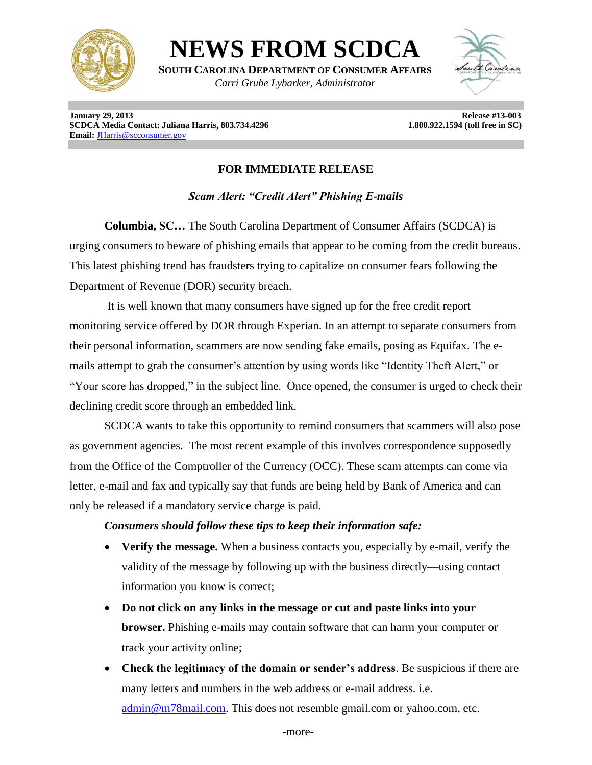

**NEWS FROM SCDCA**

**SOUTH CAROLINA DEPARTMENT OF CONSUMER AFFAIRS** *Carri Grube Lybarker, Administrator*



**January 29, 2013 Release #13-003 SCDCA Media Contact: Juliana Harris, 803.734.4296** 1.800.922.1594 (toll free in SC) **Email:** [JHarris@scconsumer.gov](mailto:JHarris@scconsumer.gov)

## **FOR IMMEDIATE RELEASE**

*Scam Alert: "Credit Alert" Phishing E-mails* 

**Columbia, SC…** The South Carolina Department of Consumer Affairs (SCDCA) is urging consumers to beware of phishing emails that appear to be coming from the credit bureaus. This latest phishing trend has fraudsters trying to capitalize on consumer fears following the Department of Revenue (DOR) security breach.

It is well known that many consumers have signed up for the free credit report monitoring service offered by DOR through Experian. In an attempt to separate consumers from their personal information, scammers are now sending fake emails, posing as Equifax. The emails attempt to grab the consumer's attention by using words like "Identity Theft Alert," or "Your score has dropped," in the subject line. Once opened, the consumer is urged to check their declining credit score through an embedded link.

SCDCA wants to take this opportunity to remind consumers that scammers will also pose as government agencies. The most recent example of this involves correspondence supposedly from the Office of the Comptroller of the Currency (OCC). These scam attempts can come via letter, e-mail and fax and typically say that funds are being held by Bank of America and can only be released if a mandatory service charge is paid.

## *Consumers should follow these tips to keep their information safe:*

- **Verify the message.** When a business contacts you, especially by e-mail, verify the validity of the message by following up with the business directly—using contact information you know is correct;
- **Do not click on any links in the message or cut and paste links into your browser.** Phishing e-mails may contain software that can harm your computer or track your activity online;
- **Check the legitimacy of the domain or sender's address**. Be suspicious if there are many letters and numbers in the web address or e-mail address. i.e. [admin@m78mail.com.](mailto:admin@m78mail.com) This does not resemble gmail.com or yahoo.com, etc.